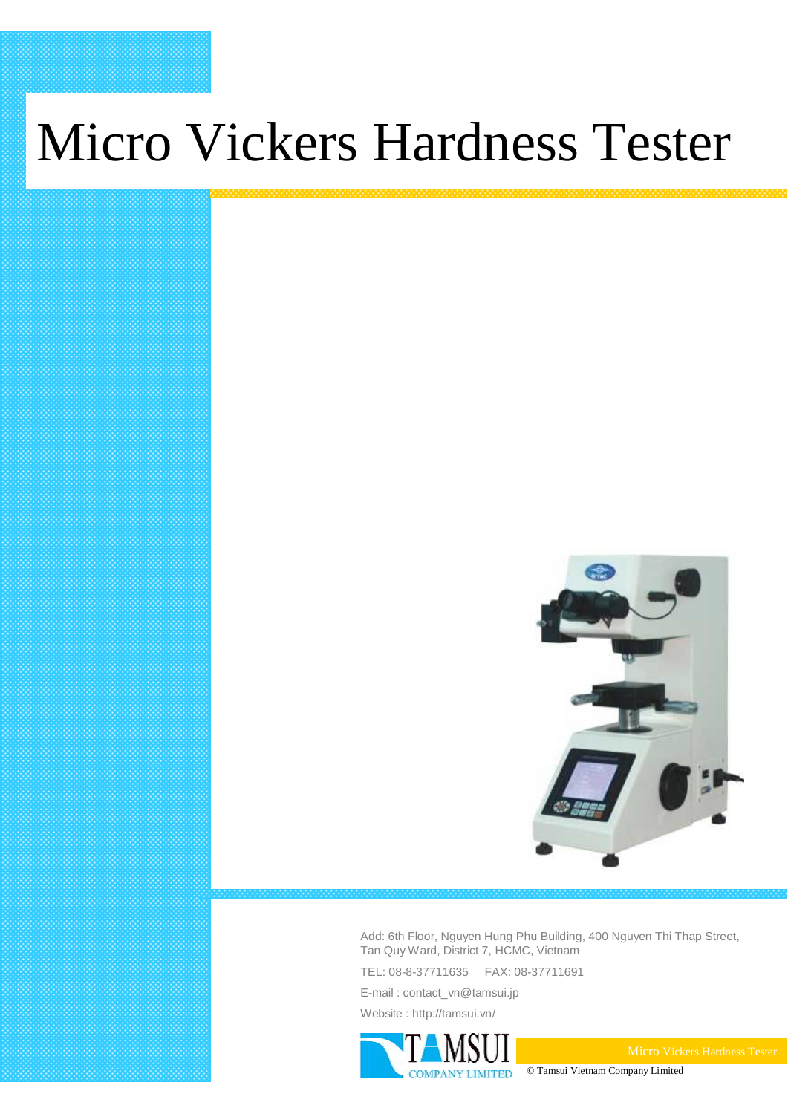# Micro Vickers Hardness Tester



Add: 6th Floor, Nguyen Hung Phu Building, 400 Nguyen Thi Thap Street, Tan Quy Ward, District 7, HCMC, Vietnam

TEL: 08-8-37711635 FAX: 08-37711691

E-mail : contact\_vn@tamsui.jp Website : http://tamsui.vn/

**LIMITED** 

© Tamsui Vietnam Company Limited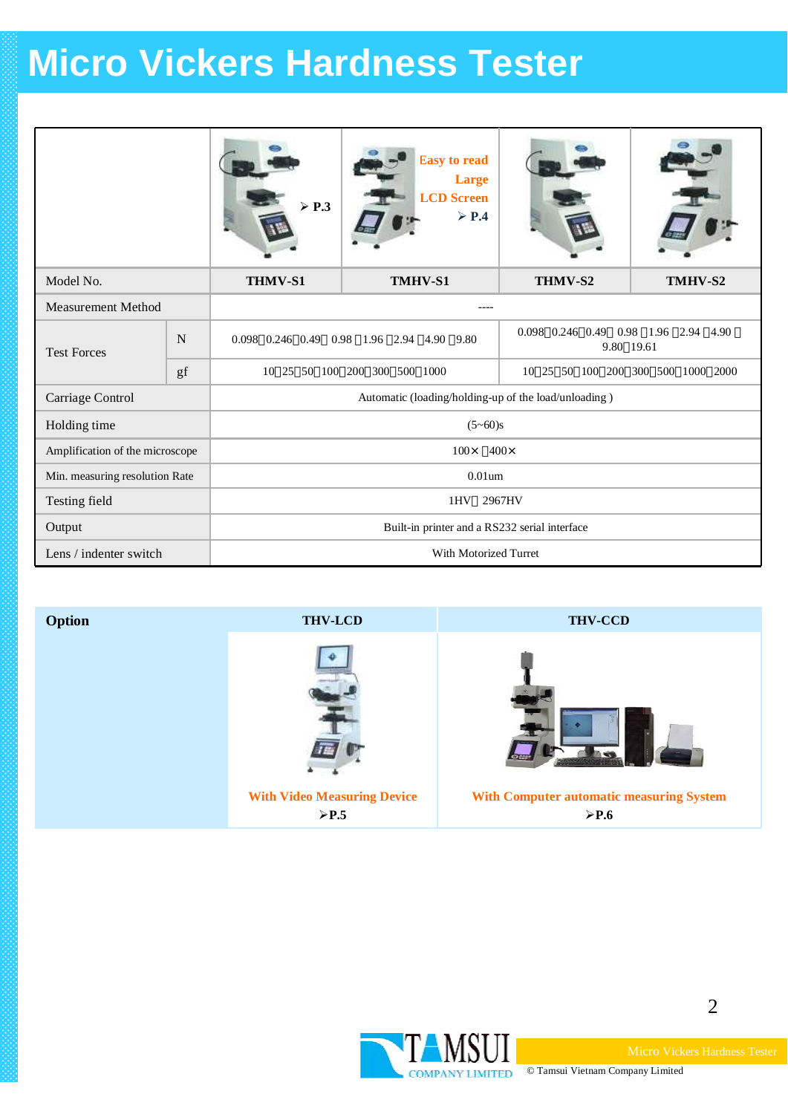### **Micro Vickers Hardness Tester**

|                                 |    | $\triangleright$ P.3                                 | <b>Easy to read</b><br><b>Large</b><br><b>LCD</b> Screen<br>$\triangleright$ P.4 |                                                    |         |  |  |
|---------------------------------|----|------------------------------------------------------|----------------------------------------------------------------------------------|----------------------------------------------------|---------|--|--|
| Model No.                       |    | THMV-S1                                              | TMHV-S1                                                                          | THMV-S2                                            | TMHV-S2 |  |  |
| <b>Measurement Method</b>       |    |                                                      |                                                                                  |                                                    |         |  |  |
| <b>Test Forces</b>              | N  | 0.098 0.246 0.49                                     | 0.98 1.96 2.94<br>4.90 9.80                                                      | 0.098 0.246 0.49 0.98 1.96 2.94 4.90<br>9.80 19.61 |         |  |  |
|                                 | gf |                                                      | 10 25 50 100 200 300 500 1000                                                    | 10 25 50 100 200 300 500 1000 2000                 |         |  |  |
| Carriage Control                |    | Automatic (loading/holding-up of the load/unloading) |                                                                                  |                                                    |         |  |  |
| Holding time                    |    | $(5 - 60)s$                                          |                                                                                  |                                                    |         |  |  |
| Amplification of the microscope |    | $100 \times 400 \times$                              |                                                                                  |                                                    |         |  |  |
| Min. measuring resolution Rate  |    | $0.01$ um                                            |                                                                                  |                                                    |         |  |  |
| Testing field                   |    | 1HV 2967HV                                           |                                                                                  |                                                    |         |  |  |
| Output                          |    | Built-in printer and a RS232 serial interface        |                                                                                  |                                                    |         |  |  |
| Lens / indenter switch          |    | With Motorized Turret                                |                                                                                  |                                                    |         |  |  |





2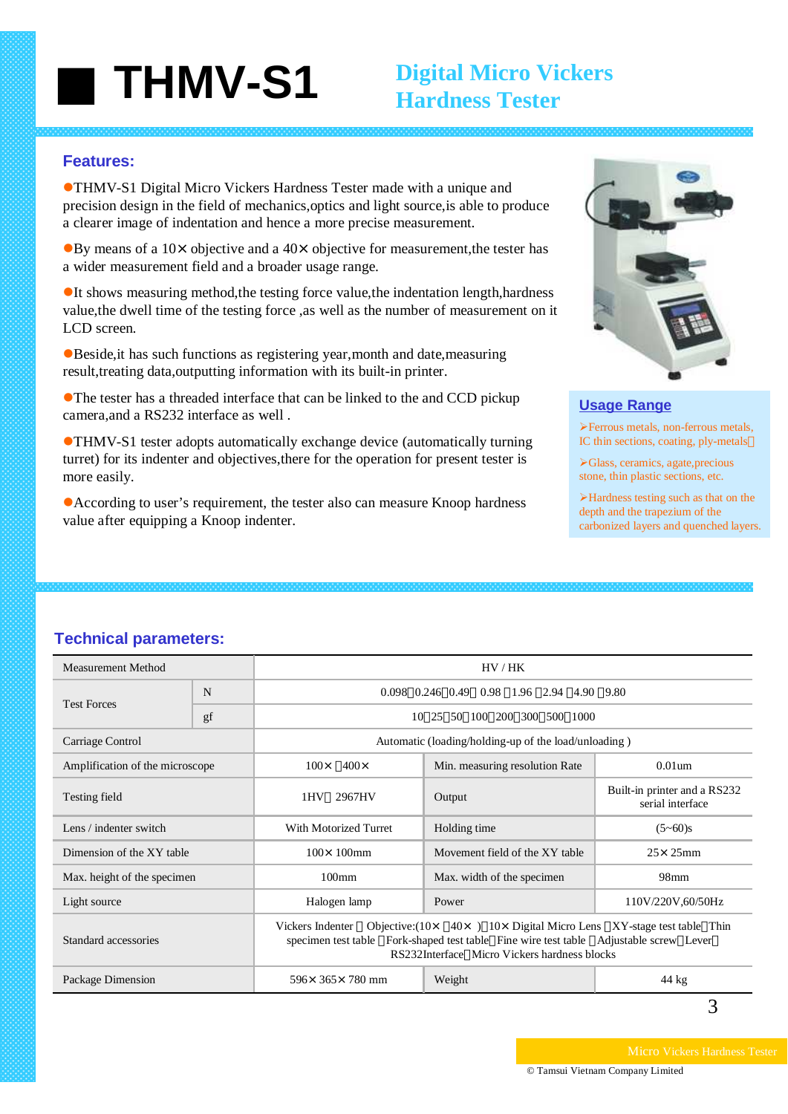## ■ **THMV-S1**

### **Digital Micro Vickers Hardness Tester**

#### **Features:**

**• THMV-S1 Digital Micro Vickers Hardness Tester made with a unique and** precision design in the field of mechanics,optics and light source,is able to produce a clearer image of indentation and hence a more precise measurement.

 $\bullet$ By means of a 10× objective and a 40× objective for measurement, the tester has a wider measurement field and a broader usage range.

 $\bullet$ It shows measuring method, the testing force value, the indentation length, hardness value,the dwell time of the testing force ,as well as the number of measurement on it LCD screen.

**• Beside, it has such functions as registering year, month and date, measuring** result,treating data,outputting information with its built-in printer.

 $\bullet$ The tester has a threaded interface that can be linked to the and CCD pickup camera,and a RS232 interface as well .

**• THMV-S1** tester adopts automatically exchange device (automatically turning turret) for its indenter and objectives,there for the operation for present tester is more easily.

• According to user's requirement, the tester also can measure Knoop hardness value after equipping a Knoop indenter.



#### **Usage Range**

¾Ferrous metals, non-ferrous metals, IC thin sections, coating, ply-metals

¾Glass, ceramics, agate,precious stone, thin plastic sections, etc.

¾Hardness testing such as that on the depth and the trapezium of the carbonized layers and quenched layers.

#### **Technical parameters:**

| Measurement Method              |    | HV/HK                                                                                                                                                                                                                                               |                                |                                                  |  |
|---------------------------------|----|-----------------------------------------------------------------------------------------------------------------------------------------------------------------------------------------------------------------------------------------------------|--------------------------------|--------------------------------------------------|--|
| <b>Test Forces</b>              | N  | $0.098$ $0.246$ $0.49$<br>0.98 1.96 2.94<br>4.90 9.80                                                                                                                                                                                               |                                |                                                  |  |
|                                 | gf | 10                                                                                                                                                                                                                                                  | 25 50 100 200 300 500 1000     |                                                  |  |
| Carriage Control                |    | Automatic (loading/holding-up of the load/unloading)                                                                                                                                                                                                |                                |                                                  |  |
| Amplification of the microscope |    | $400\times$<br>$100 \times$                                                                                                                                                                                                                         | Min. measuring resolution Rate | $0.01$ um                                        |  |
| Testing field                   |    | 1HV<br>2967HV                                                                                                                                                                                                                                       | Output                         | Built-in printer and a RS232<br>serial interface |  |
| Lens / indenter switch          |    | With Motorized Turret                                                                                                                                                                                                                               | Holding time                   | $(5 - 60)s$                                      |  |
| Dimension of the XY table       |    | $100 \times 100$ mm                                                                                                                                                                                                                                 | Movement field of the XY table | $25 \times 25$ mm                                |  |
| Max. height of the specimen     |    | $100 \text{mm}$                                                                                                                                                                                                                                     | Max. width of the specimen     | $98$ mm                                          |  |
| Light source                    |    | Halogen lamp                                                                                                                                                                                                                                        | Power                          | 110V/220V,60/50Hz                                |  |
| Standard accessories            |    | Objective: $(10 \times 40 \times)$ 10× Digital Micro Lens XY-stage test table Thin<br>Vickers Indenter<br>Fork-shaped test table Fine wire test table Adjustable screw Lever<br>specimen test table<br>RS232Interface Micro Vickers hardness blocks |                                |                                                  |  |
| Package Dimension               |    | $596 \times 365 \times 780$ mm<br>Weight                                                                                                                                                                                                            |                                | 44 kg                                            |  |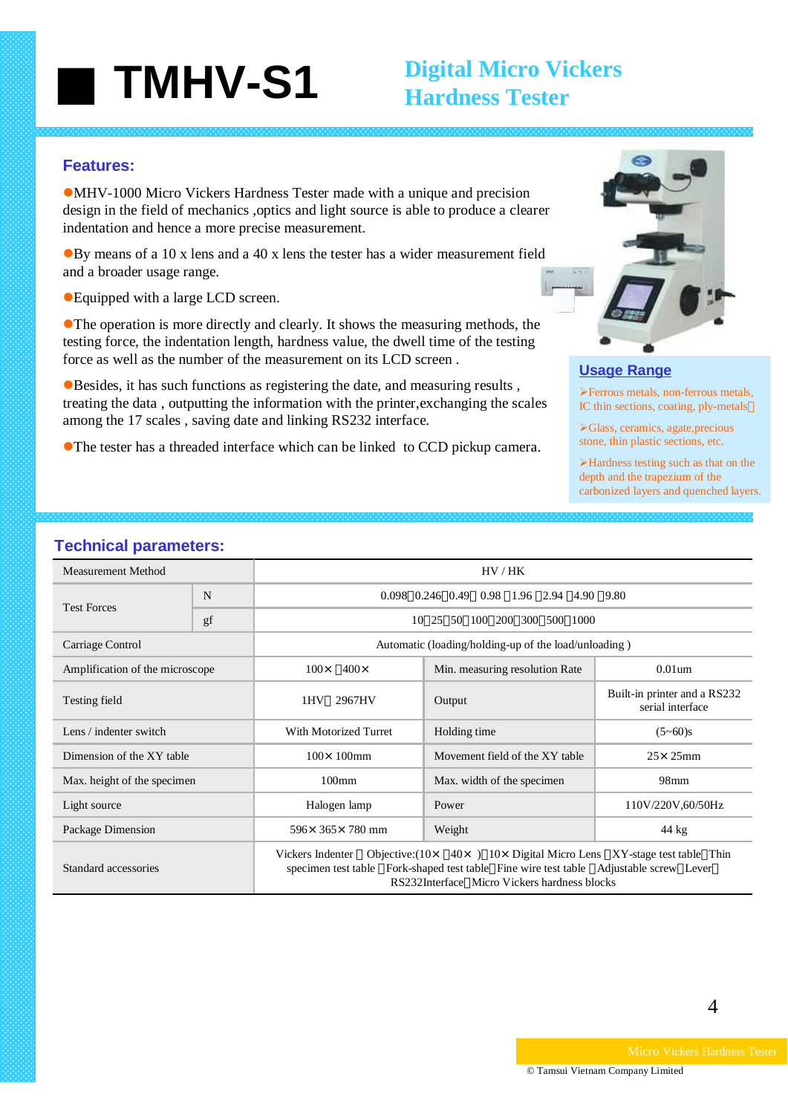## ■ **TMHV-S1**

### **Digital Micro Vickers Hardness Tester**

#### **Features:**

 $\bullet$ MHV-1000 Micro Vickers Hardness Tester made with a unique and precision design in the field of mechanics ,optics and light source is able to produce a clearer indentation and hence a more precise measurement.

 $\bullet$ By means of a 10 x lens and a 40 x lens the tester has a wider measurement field and a broader usage range.

● Equipped with a large LCD screen.

**• The operation is more directly and clearly. It shows the measuring methods, the** testing force, the indentation length, hardness value, the dwell time of the testing force as well as the number of the measurement on its LCD screen .

 $\bullet$ Besides, it has such functions as registering the date, and measuring results , treating the data , outputting the information with the printer,exchanging the scales among the 17 scales , saving date and linking RS232 interface.

• The tester has a threaded interface which can be linked to CCD pickup camera.



#### **Usage Range**

¾Ferrous metals, non-ferrous metals, IC thin sections, coating, ply-metals

¾Glass, ceramics, agate,precious stone, thin plastic sections, etc.

¾Hardness testing such as that on the depth and the trapezium of the carbonized layers and quenched layers.

#### **Technical parameters:**

| <b>Measurement Method</b>       |    | HV/HK                                                                                                                                                                                                                                             |                                |                                                  |  |
|---------------------------------|----|---------------------------------------------------------------------------------------------------------------------------------------------------------------------------------------------------------------------------------------------------|--------------------------------|--------------------------------------------------|--|
| <b>Test Forces</b>              | N  | 0.098 0.246 0.49 0.98 1.96 2.94 4.90 9.80                                                                                                                                                                                                         |                                |                                                  |  |
|                                 | gf | 25 50 100 200 300 500 1000<br>10                                                                                                                                                                                                                  |                                |                                                  |  |
| Carriage Control                |    | Automatic (loading/holding-up of the load/unloading)                                                                                                                                                                                              |                                |                                                  |  |
| Amplification of the microscope |    | $100 \times 400 \times$                                                                                                                                                                                                                           | Min. measuring resolution Rate | $0.01$ um                                        |  |
| Testing field                   |    | 2967HV<br>1HV                                                                                                                                                                                                                                     | Output                         | Built-in printer and a RS232<br>serial interface |  |
| Lens / indenter switch          |    | <b>With Motorized Turret</b>                                                                                                                                                                                                                      | Holding time                   | $(5 - 60)s$                                      |  |
| Dimension of the XY table       |    | $100 \times 100$ mm                                                                                                                                                                                                                               | Movement field of the XY table | $25 \times 25$ mm                                |  |
| Max. height of the specimen     |    | $100$ mm                                                                                                                                                                                                                                          | Max. width of the specimen     | 98mm                                             |  |
| Light source                    |    | Halogen lamp                                                                                                                                                                                                                                      | Power                          | 110V/220V,60/50Hz                                |  |
| Package Dimension               |    | $596 \times 365 \times 780$ mm                                                                                                                                                                                                                    | Weight                         | 44 kg                                            |  |
| Standard accessories            |    | Objective: $(10 \times 40 \times)$ 10 × Digital Micro Lens XY-stage test table Thin<br>Vickers Indenter<br>specimen test table Fork-shaped test table Fine wire test table Adjustable screw Lever<br>RS232Interface Micro Vickers hardness blocks |                                |                                                  |  |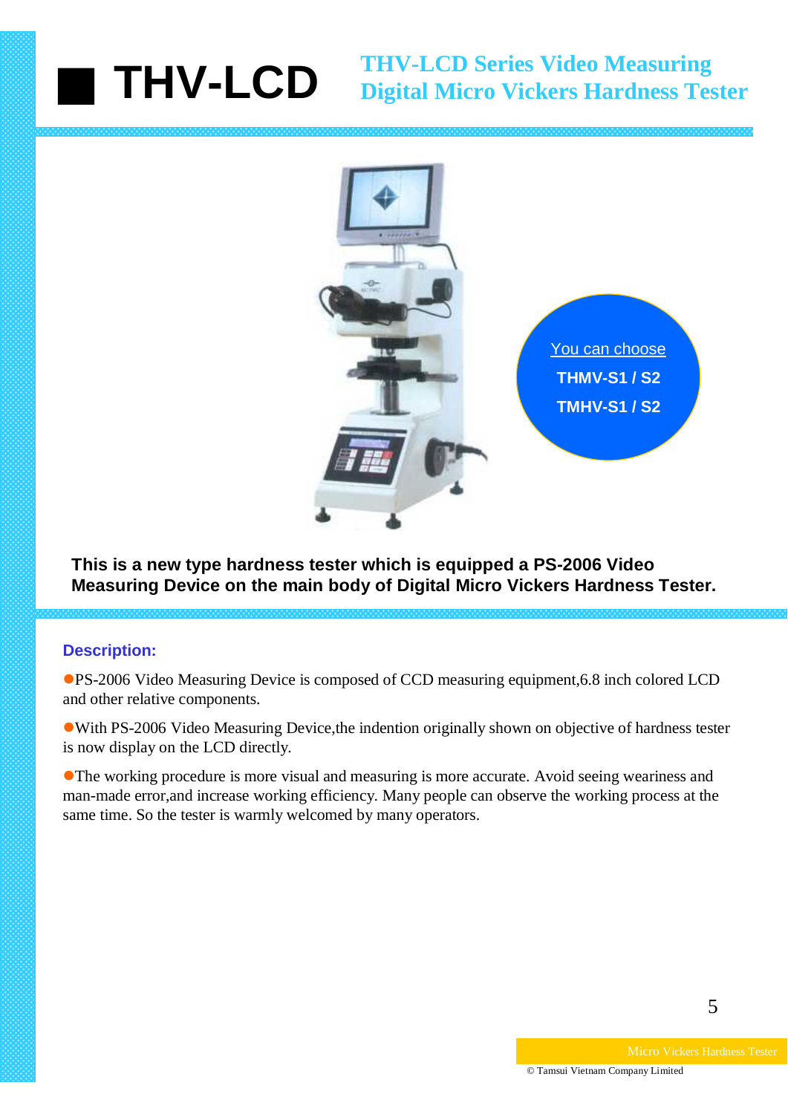# ■ **THV-LCD THV-LCD Series Video Measuring Digital Micro Vickers Hardness Tester**



**This is a new type hardness tester which is equipped a PS-2006 Video Measuring Device on the main body of Digital Micro Vickers Hardness Tester.**

### **Description:**

●PS-2006 Video Measuring Device is composed of CCD measuring equipment,6.8 inch colored LCD and other relative components.

• With PS-2006 Video Measuring Device, the indention originally shown on objective of hardness tester is now display on the LCD directly.

• The working procedure is more visual and measuring is more accurate. Avoid seeing weariness and man-made error,and increase working efficiency. Many people can observe the working process at the same time. So the tester is warmly welcomed by many operators.